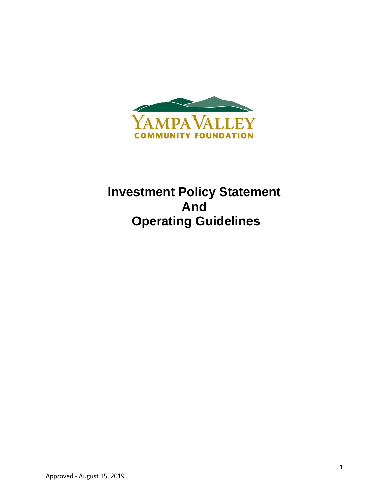

# **Investment Policy Statement And Operating Guidelines**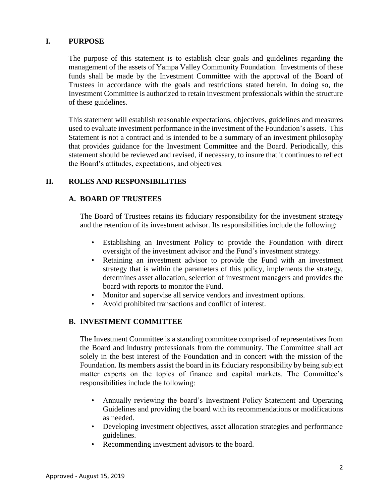# **I. PURPOSE**

The purpose of this statement is to establish clear goals and guidelines regarding the management of the assets of Yampa Valley Community Foundation. Investments of these funds shall be made by the Investment Committee with the approval of the Board of Trustees in accordance with the goals and restrictions stated herein. In doing so, the Investment Committee is authorized to retain investment professionals within the structure of these guidelines.

This statement will establish reasonable expectations, objectives, guidelines and measures used to evaluate investment performance in the investment of the Foundation's assets. This Statement is not a contract and is intended to be a summary of an investment philosophy that provides guidance for the Investment Committee and the Board. Periodically, this statement should be reviewed and revised, if necessary, to insure that it continues to reflect the Board's attitudes, expectations, and objectives.

# **II. ROLES AND RESPONSIBILITIES**

# **A. BOARD OF TRUSTEES**

The Board of Trustees retains its fiduciary responsibility for the investment strategy and the retention of its investment advisor. Its responsibilities include the following:

- Establishing an Investment Policy to provide the Foundation with direct oversight of the investment advisor and the Fund's investment strategy.
- Retaining an investment advisor to provide the Fund with an investment strategy that is within the parameters of this policy, implements the strategy, determines asset allocation, selection of investment managers and provides the board with reports to monitor the Fund.
- Monitor and supervise all service vendors and investment options.
- Avoid prohibited transactions and conflict of interest.

# **B. INVESTMENT COMMITTEE**

The Investment Committee is a standing committee comprised of representatives from the Board and industry professionals from the community. The Committee shall act solely in the best interest of the Foundation and in concert with the mission of the Foundation. Its members assist the board in its fiduciary responsibility by being subject matter experts on the topics of finance and capital markets. The Committee's responsibilities include the following:

- Annually reviewing the board's Investment Policy Statement and Operating Guidelines and providing the board with its recommendations or modifications as needed.
- Developing investment objectives, asset allocation strategies and performance guidelines.
- Recommending investment advisors to the board.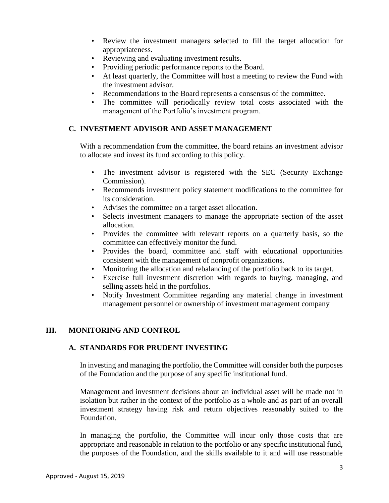- Review the investment managers selected to fill the target allocation for appropriateness.
- Reviewing and evaluating investment results.
- Providing periodic performance reports to the Board.
- At least quarterly, the Committee will host a meeting to review the Fund with the investment advisor.
- Recommendations to the Board represents a consensus of the committee.
- The committee will periodically review total costs associated with the management of the Portfolio's investment program.

# **C. INVESTMENT ADVISOR AND ASSET MANAGEMENT**

With a recommendation from the committee, the board retains an investment advisor to allocate and invest its fund according to this policy.

- The investment advisor is registered with the SEC (Security Exchange Commission).
- Recommends investment policy statement modifications to the committee for its consideration.
- Advises the committee on a target asset allocation.
- Selects investment managers to manage the appropriate section of the asset allocation.
- Provides the committee with relevant reports on a quarterly basis, so the committee can effectively monitor the fund.
- Provides the board, committee and staff with educational opportunities consistent with the management of nonprofit organizations.
- Monitoring the allocation and rebalancing of the portfolio back to its target.
- Exercise full investment discretion with regards to buying, managing, and selling assets held in the portfolios.
- Notify Investment Committee regarding any material change in investment management personnel or ownership of investment management company

## **III. MONITORING AND CONTROL**

## **A. STANDARDS FOR PRUDENT INVESTING**

In investing and managing the portfolio, the Committee will consider both the purposes of the Foundation and the purpose of any specific institutional fund.

Management and investment decisions about an individual asset will be made not in isolation but rather in the context of the portfolio as a whole and as part of an overall investment strategy having risk and return objectives reasonably suited to the Foundation.

In managing the portfolio, the Committee will incur only those costs that are appropriate and reasonable in relation to the portfolio or any specific institutional fund, the purposes of the Foundation, and the skills available to it and will use reasonable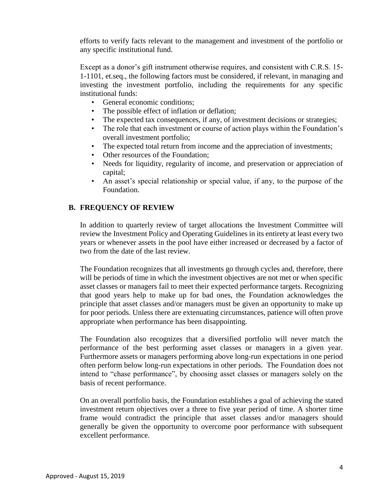efforts to verify facts relevant to the management and investment of the portfolio or any specific institutional fund.

Except as a donor's gift instrument otherwise requires, and consistent with C.R.S. 15- 1-1101, et.seq., the following factors must be considered, if relevant, in managing and investing the investment portfolio, including the requirements for any specific institutional funds:

- General economic conditions:
- The possible effect of inflation or deflation;
- The expected tax consequences, if any, of investment decisions or strategies;
- The role that each investment or course of action plays within the Foundation's overall investment portfolio;
- The expected total return from income and the appreciation of investments;
- Other resources of the Foundation;
- Needs for liquidity, regularity of income, and preservation or appreciation of capital;
- An asset's special relationship or special value, if any, to the purpose of the Foundation.

# **B. FREQUENCY OF REVIEW**

In addition to quarterly review of target allocations the Investment Committee will review the Investment Policy and Operating Guidelines in its entirety at least every two years or whenever assets in the pool have either increased or decreased by a factor of two from the date of the last review.

The Foundation recognizes that all investments go through cycles and, therefore, there will be periods of time in which the investment objectives are not met or when specific asset classes or managers fail to meet their expected performance targets. Recognizing that good years help to make up for bad ones, the Foundation acknowledges the principle that asset classes and/or managers must be given an opportunity to make up for poor periods. Unless there are extenuating circumstances, patience will often prove appropriate when performance has been disappointing.

The Foundation also recognizes that a diversified portfolio will never match the performance of the best performing asset classes or managers in a given year. Furthermore assets or managers performing above long-run expectations in one period often perform below long-run expectations in other periods. The Foundation does not intend to "chase performance", by choosing asset classes or managers solely on the basis of recent performance.

On an overall portfolio basis, the Foundation establishes a goal of achieving the stated investment return objectives over a three to five year period of time. A shorter time frame would contradict the principle that asset classes and/or managers should generally be given the opportunity to overcome poor performance with subsequent excellent performance.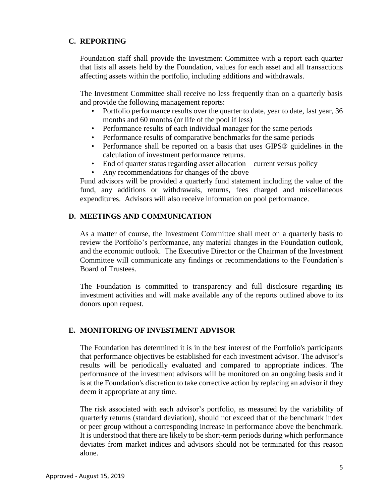# **C. REPORTING**

Foundation staff shall provide the Investment Committee with a report each quarter that lists all assets held by the Foundation, values for each asset and all transactions affecting assets within the portfolio, including additions and withdrawals.

The Investment Committee shall receive no less frequently than on a quarterly basis and provide the following management reports:

- Portfolio performance results over the quarter to date, year to date, last year, 36 months and 60 months (or life of the pool if less)
- Performance results of each individual manager for the same periods
- Performance results of comparative benchmarks for the same periods
- Performance shall be reported on a basis that uses GIPS® guidelines in the calculation of investment performance returns.
- End of quarter status regarding asset allocation—current versus policy
- Any recommendations for changes of the above

Fund advisors will be provided a quarterly fund statement including the value of the fund, any additions or withdrawals, returns, fees charged and miscellaneous expenditures. Advisors will also receive information on pool performance.

# **D. MEETINGS AND COMMUNICATION**

As a matter of course, the Investment Committee shall meet on a quarterly basis to review the Portfolio's performance, any material changes in the Foundation outlook, and the economic outlook. The Executive Director or the Chairman of the Investment Committee will communicate any findings or recommendations to the Foundation's Board of Trustees.

The Foundation is committed to transparency and full disclosure regarding its investment activities and will make available any of the reports outlined above to its donors upon request.

# **E. MONITORING OF INVESTMENT ADVISOR**

The Foundation has determined it is in the best interest of the Portfolio's participants that performance objectives be established for each investment advisor. The advisor's results will be periodically evaluated and compared to appropriate indices. The performance of the investment advisors will be monitored on an ongoing basis and it is at the Foundation's discretion to take corrective action by replacing an advisor if they deem it appropriate at any time.

The risk associated with each advisor's portfolio, as measured by the variability of quarterly returns (standard deviation), should not exceed that of the benchmark index or peer group without a corresponding increase in performance above the benchmark. It is understood that there are likely to be short-term periods during which performance deviates from market indices and advisors should not be terminated for this reason alone.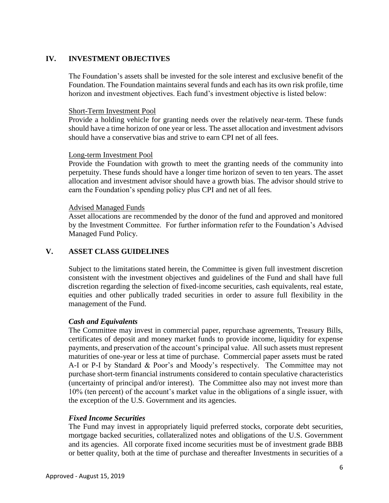# **IV. INVESTMENT OBJECTIVES**

The Foundation's assets shall be invested for the sole interest and exclusive benefit of the Foundation. The Foundation maintains several funds and each has its own risk profile, time horizon and investment objectives. Each fund's investment objective is listed below:

### Short-Term Investment Pool

Provide a holding vehicle for granting needs over the relatively near-term. These funds should have a time horizon of one year or less. The asset allocation and investment advisors should have a conservative bias and strive to earn CPI net of all fees.

#### Long-term Investment Pool

Provide the Foundation with growth to meet the granting needs of the community into perpetuity. These funds should have a longer time horizon of seven to ten years. The asset allocation and investment advisor should have a growth bias. The advisor should strive to earn the Foundation's spending policy plus CPI and net of all fees.

#### Advised Managed Funds

Asset allocations are recommended by the donor of the fund and approved and monitored by the Investment Committee. For further information refer to the Foundation's Advised Managed Fund Policy.

# **V. ASSET CLASS GUIDELINES**

Subject to the limitations stated herein, the Committee is given full investment discretion consistent with the investment objectives and guidelines of the Fund and shall have full discretion regarding the selection of fixed-income securities, cash equivalents, real estate, equities and other publically traded securities in order to assure full flexibility in the management of the Fund.

## *Cash and Equivalents*

The Committee may invest in commercial paper, repurchase agreements, Treasury Bills, certificates of deposit and money market funds to provide income, liquidity for expense payments, and preservation of the account's principal value. All such assets must represent maturities of one-year or less at time of purchase. Commercial paper assets must be rated A-I or P-I by Standard & Poor's and Moody's respectively. The Committee may not purchase short-term financial instruments considered to contain speculative characteristics (uncertainty of principal and/or interest). The Committee also may not invest more than 10% (ten percent) of the account's market value in the obligations of a single issuer, with the exception of the U.S. Government and its agencies.

#### *Fixed Income Securities*

The Fund may invest in appropriately liquid preferred stocks, corporate debt securities, mortgage backed securities, collateralized notes and obligations of the U.S. Government and its agencies. All corporate fixed income securities must be of investment grade BBB or better quality, both at the time of purchase and thereafter Investments in securities of a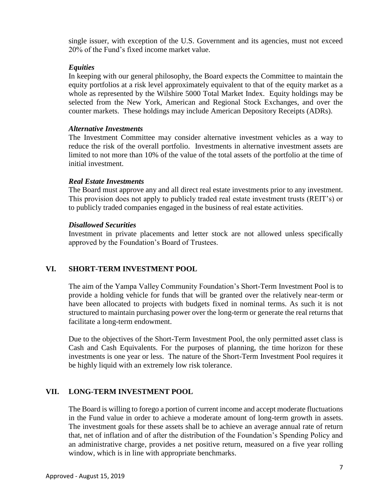single issuer, with exception of the U.S. Government and its agencies, must not exceed 20% of the Fund's fixed income market value.

## *Equities*

In keeping with our general philosophy, the Board expects the Committee to maintain the equity portfolios at a risk level approximately equivalent to that of the equity market as a whole as represented by the Wilshire 5000 Total Market Index. Equity holdings may be selected from the New York, American and Regional Stock Exchanges, and over the counter markets. These holdings may include American Depository Receipts (ADRs).

## *Alternative Investments*

The Investment Committee may consider alternative investment vehicles as a way to reduce the risk of the overall portfolio. Investments in alternative investment assets are limited to not more than 10% of the value of the total assets of the portfolio at the time of initial investment.

## *Real Estate Investments*

The Board must approve any and all direct real estate investments prior to any investment. This provision does not apply to publicly traded real estate investment trusts (REIT's) or to publicly traded companies engaged in the business of real estate activities.

#### *Disallowed Securities*

Investment in private placements and letter stock are not allowed unless specifically approved by the Foundation's Board of Trustees.

# **VI. SHORT-TERM INVESTMENT POOL**

The aim of the Yampa Valley Community Foundation's Short-Term Investment Pool is to provide a holding vehicle for funds that will be granted over the relatively near-term or have been allocated to projects with budgets fixed in nominal terms. As such it is not structured to maintain purchasing power over the long-term or generate the real returns that facilitate a long-term endowment.

Due to the objectives of the Short-Term Investment Pool, the only permitted asset class is Cash and Cash Equivalents. For the purposes of planning, the time horizon for these investments is one year or less. The nature of the Short-Term Investment Pool requires it be highly liquid with an extremely low risk tolerance.

## **VII. LONG-TERM INVESTMENT POOL**

The Board is willing to forego a portion of current income and accept moderate fluctuations in the Fund value in order to achieve a moderate amount of long-term growth in assets. The investment goals for these assets shall be to achieve an average annual rate of return that, net of inflation and of after the distribution of the Foundation's Spending Policy and an administrative charge, provides a net positive return, measured on a five year rolling window, which is in line with appropriate benchmarks.